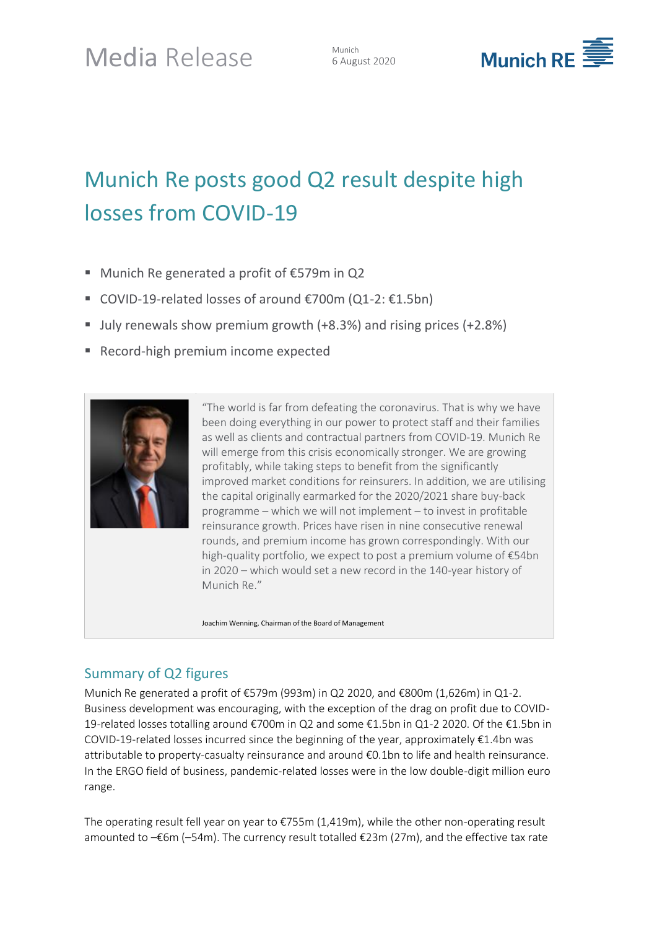6 August 2020



# Munich Re posts good Q2 result despite high losses from COVID-19

- Munich Re generated a profit of €579m in Q2
- COVID-19-related losses of around €700m (Q1-2: €1.5bn)
- July renewals show premium growth (+8.3%) and rising prices (+2.8%)
- Record-high premium income expected



"The world is far from defeating the coronavirus. That is why we have been doing everything in our power to protect staff and their families as well as clients and contractual partners from COVID-19. Munich Re will emerge from this crisis economically stronger. We are growing profitably, while taking steps to benefit from the significantly improved market conditions for reinsurers. In addition, we are utilising the capital originally earmarked for the 2020/2021 share buy-back programme – which we will not implement – to invest in profitable reinsurance growth. Prices have risen in nine consecutive renewal rounds, and premium income has grown correspondingly. With our high-quality portfolio, we expect to post a premium volume of €54bn in 2020 – which would set a new record in the 140-year history of Munich Re."

Joachim Wenning, Chairman of the Board of Management

## Summary of Q2 figures

Munich Re generated a profit of €579m (993m) in Q2 2020, and €800m (1,626m) in Q1-2. Business development was encouraging, with the exception of the drag on profit due to COVID-19-related losses totalling around €700m in Q2 and some €1.5bn in Q1-2 2020. Of the €1.5bn in COVID-19-related losses incurred since the beginning of the year, approximately €1.4bn was attributable to property-casualty reinsurance and around €0.1bn to life and health reinsurance. In the ERGO field of business, pandemic-related losses were in the low double-digit million euro range.

The operating result fell year on year to  $\epsilon$ 755m (1,419m), while the other non-operating result amounted to –€6m (–54m). The currency result totalled €23m (27m), and the effective tax rate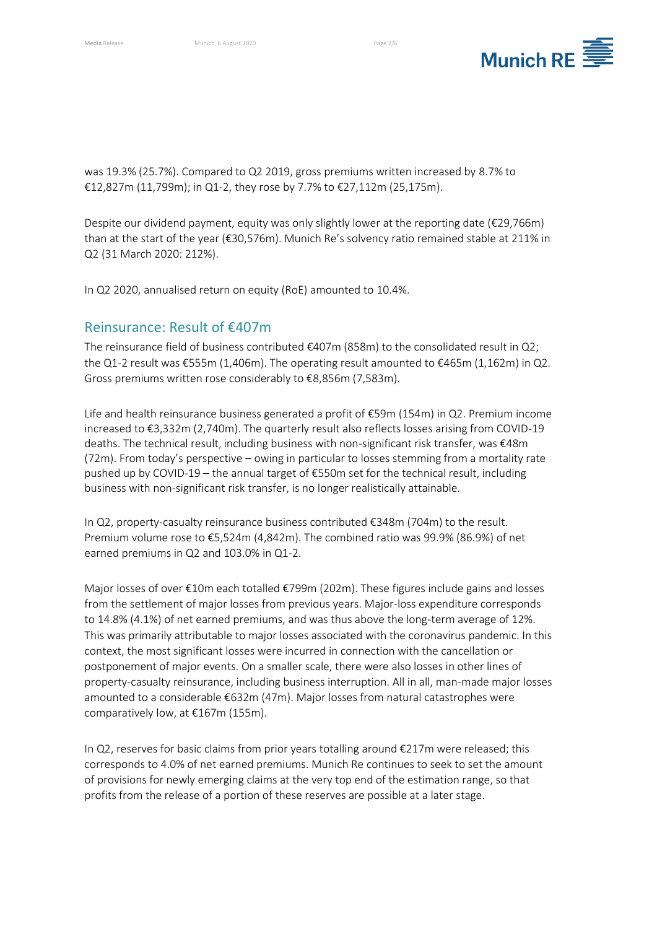

was 19.3% (25.7%). Compared to Q2 2019, gross premiums written increased by 8.7% to €12,827m (11,799m); in Q1-2, they rose by 7.7% to €27,112m (25,175m).

Despite our dividend payment, equity was only slightly lower at the reporting date (€29,766m) than at the start of the year (€30,576m). Munich Re's solvency ratio remained stable at 211% in Q2 (31 March 2020: 212%).

In Q2 2020, annualised return on equity (RoE) amounted to 10.4%.

#### Reinsurance: Result of €407m

The reinsurance field of business contributed  $\epsilon$ 407m (858m) to the consolidated result in Q2; the Q1-2 result was €555m (1,406m). The operating result amounted to €465m (1,162m) in Q2. Gross premiums written rose considerably to €8,856m (7,583m).

Life and health reinsurance business generated a profit of €59m (154m) in Q2. Premium income increased to €3,332m (2,740m). The quarterly result also reflects losses arising from COVID-19 deaths. The technical result, including business with non-significant risk transfer, was €48m (72m). From today's perspective – owing in particular to losses stemming from a mortality rate pushed up by COVID-19 – the annual target of €550m set for the technical result, including business with non-significant risk transfer, is no longer realistically attainable.

In Q2, property-casualty reinsurance business contributed €348m (704m) to the result. Premium volume rose to €5,524m (4,842m). The combined ratio was 99.9% (86.9%) of net earned premiums in Q2 and 103.0% in Q1-2.

Major losses of over €10m each totalled €799m (202m). These figures include gains and losses from the settlement of major losses from previous years. Major-loss expenditure corresponds to 14.8% (4.1%) of net earned premiums, and was thus above the long-term average of 12%. This was primarily attributable to major losses associated with the coronavirus pandemic. In this context, the most significant losses were incurred in connection with the cancellation or postponement of major events. On a smaller scale, there were also losses in other lines of property-casualty reinsurance, including business interruption. All in all, man-made major losses amounted to a considerable €632m (47m). Major losses from natural catastrophes were comparatively low, at €167m (155m).

In Q2, reserves for basic claims from prior years totalling around €217m were released; this corresponds to 4.0% of net earned premiums. Munich Re continues to seek to set the amount of provisions for newly emerging claims at the very top end of the estimation range, so that profits from the release of a portion of these reserves are possible at a later stage.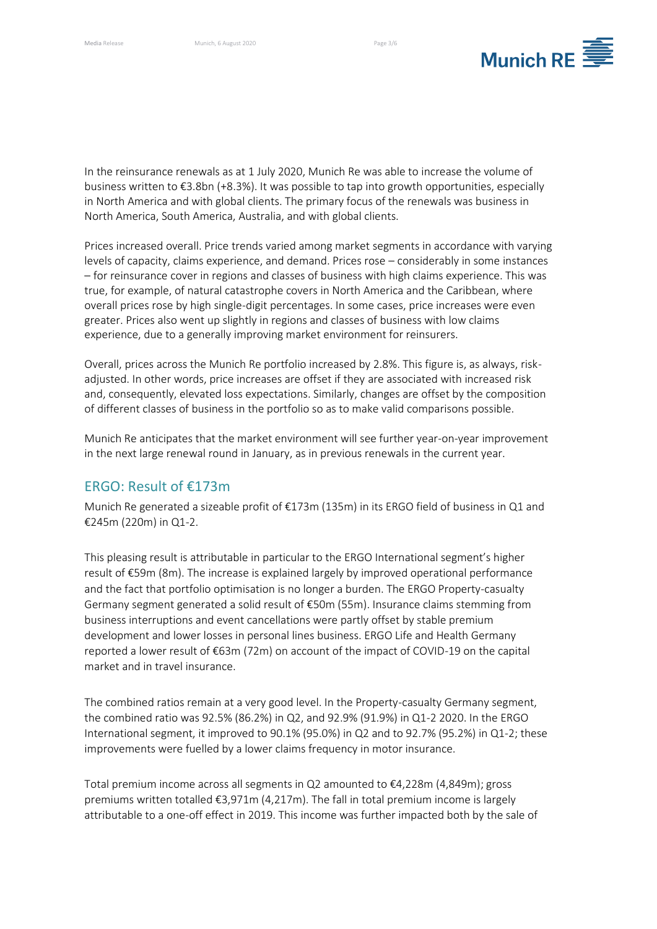

In the reinsurance renewals as at 1 July 2020, Munich Re was able to increase the volume of business written to €3.8bn (+8.3%). It was possible to tap into growth opportunities, especially in North America and with global clients. The primary focus of the renewals was business in North America, South America, Australia, and with global clients.

Prices increased overall. Price trends varied among market segments in accordance with varying levels of capacity, claims experience, and demand. Prices rose – considerably in some instances – for reinsurance cover in regions and classes of business with high claims experience. This was true, for example, of natural catastrophe covers in North America and the Caribbean, where overall prices rose by high single-digit percentages. In some cases, price increases were even greater. Prices also went up slightly in regions and classes of business with low claims experience, due to a generally improving market environment for reinsurers.

Overall, prices across the Munich Re portfolio increased by 2.8%. This figure is, as always, riskadjusted. In other words, price increases are offset if they are associated with increased risk and, consequently, elevated loss expectations. Similarly, changes are offset by the composition of different classes of business in the portfolio so as to make valid comparisons possible.

Munich Re anticipates that the market environment will see further year-on-year improvement in the next large renewal round in January, as in previous renewals in the current year.

## ERGO: Result of €173m

Munich Re generated a sizeable profit of €173m (135m) in its ERGO field of business in Q1 and €245m (220m) in Q1-2.

This pleasing result is attributable in particular to the ERGO International segment's higher result of €59m (8m). The increase is explained largely by improved operational performance and the fact that portfolio optimisation is no longer a burden. The ERGO Property-casualty Germany segment generated a solid result of €50m (55m). Insurance claims stemming from business interruptions and event cancellations were partly offset by stable premium development and lower losses in personal lines business. ERGO Life and Health Germany reported a lower result of €63m (72m) on account of the impact of COVID-19 on the capital market and in travel insurance.

The combined ratios remain at a very good level. In the Property-casualty Germany segment, the combined ratio was 92.5% (86.2%) in Q2, and 92.9% (91.9%) in Q1-2 2020. In the ERGO International segment, it improved to 90.1% (95.0%) in Q2 and to 92.7% (95.2%) in Q1-2; these improvements were fuelled by a lower claims frequency in motor insurance.

Total premium income across all segments in Q2 amounted to €4,228m (4,849m); gross premiums written totalled €3,971m (4,217m). The fall in total premium income is largely attributable to a one-off effect in 2019. This income was further impacted both by the sale of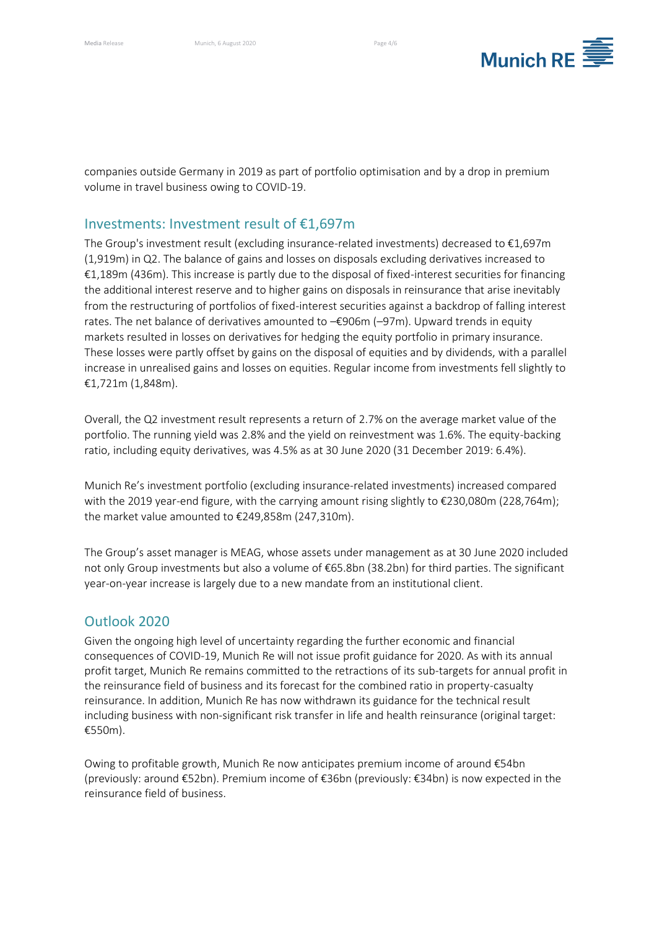

companies outside Germany in 2019 as part of portfolio optimisation and by a drop in premium volume in travel business owing to COVID-19.

#### Investments: Investment result of €1,697m

The Group's investment result (excluding insurance-related investments) decreased to €1,697m (1,919m) in Q2. The balance of gains and losses on disposals excluding derivatives increased to €1,189m (436m). This increase is partly due to the disposal of fixed-interest securities for financing the additional interest reserve and to higher gains on disposals in reinsurance that arise inevitably from the restructuring of portfolios of fixed-interest securities against a backdrop of falling interest rates. The net balance of derivatives amounted to –€906m (–97m). Upward trends in equity markets resulted in losses on derivatives for hedging the equity portfolio in primary insurance. These losses were partly offset by gains on the disposal of equities and by dividends, with a parallel increase in unrealised gains and losses on equities. Regular income from investments fell slightly to €1,721m (1,848m).

Overall, the Q2 investment result represents a return of 2.7% on the average market value of the portfolio. The running yield was 2.8% and the yield on reinvestment was 1.6%. The equity-backing ratio, including equity derivatives, was 4.5% as at 30 June 2020 (31 December 2019: 6.4%).

Munich Re's investment portfolio (excluding insurance-related investments) increased compared with the 2019 year-end figure, with the carrying amount rising slightly to €230,080m (228,764m); the market value amounted to €249,858m (247,310m).

The Group's asset manager is MEAG, whose assets under management as at 30 June 2020 included not only Group investments but also a volume of €65.8bn (38.2bn) for third parties. The significant year-on-year increase is largely due to a new mandate from an institutional client.

## Outlook 2020

Given the ongoing high level of uncertainty regarding the further economic and financial consequences of COVID-19, Munich Re will not issue profit guidance for 2020. As with its annual profit target, Munich Re remains committed to the retractions of its sub-targets for annual profit in the reinsurance field of business and its forecast for the combined ratio in property-casualty reinsurance. In addition, Munich Re has now withdrawn its guidance for the technical result including business with non-significant risk transfer in life and health reinsurance (original target: €550m).

Owing to profitable growth, Munich Re now anticipates premium income of around €54bn (previously: around €52bn). Premium income of €36bn (previously: €34bn) is now expected in the reinsurance field of business.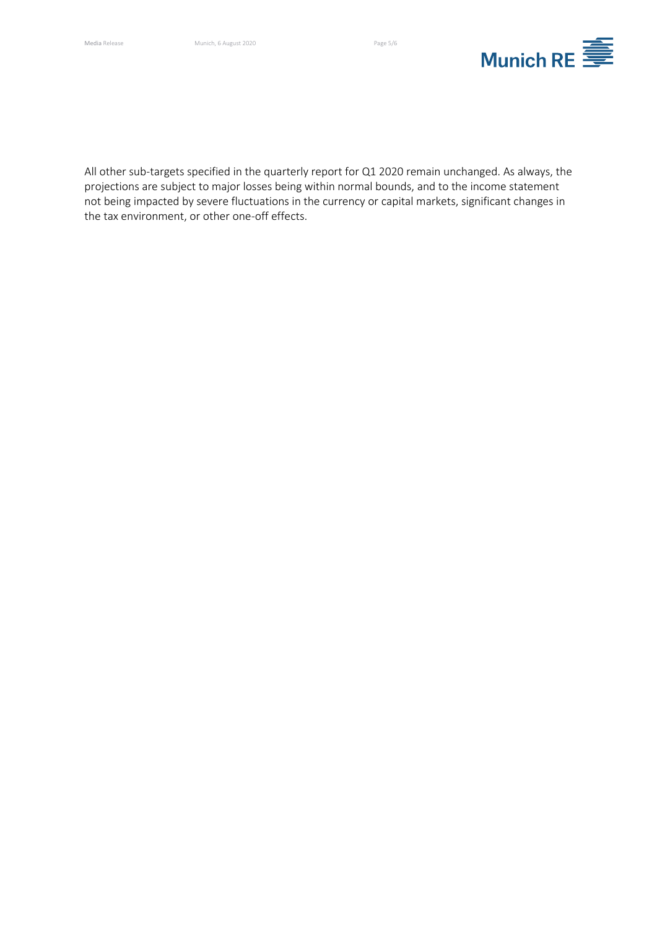

All other sub-targets specified in the quarterly report for Q1 2020 remain unchanged. As always, the projections are subject to major losses being within normal bounds, and to the income statement not being impacted by severe fluctuations in the currency or capital markets, significant changes in the tax environment, or other one-off effects.